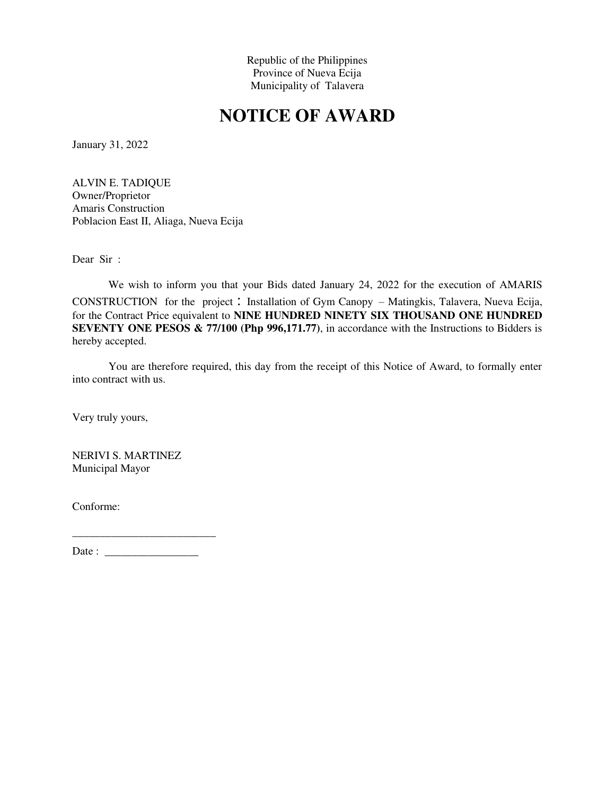# **NOTICE OF AWARD**

January 31, 2022

ALVIN E. TADIQUE Owner/Proprietor Amaris Construction Poblacion East II, Aliaga, Nueva Ecija

Dear Sir :

We wish to inform you that your Bids dated January 24, 2022 for the execution of AMARIS CONSTRUCTION for the project : Installation of Gym Canopy – Matingkis, Talavera, Nueva Ecija, for the Contract Price equivalent to **NINE HUNDRED NINETY SIX THOUSAND ONE HUNDRED SEVENTY ONE PESOS & 77/100 (Php 996,171.77)**, in accordance with the Instructions to Bidders is hereby accepted.

You are therefore required, this day from the receipt of this Notice of Award, to formally enter into contract with us.

Very truly yours,

NERIVI S. MARTINEZ Municipal Mayor

Conforme:

Date : \_\_\_\_\_\_\_\_\_\_\_\_\_\_\_\_\_

\_\_\_\_\_\_\_\_\_\_\_\_\_\_\_\_\_\_\_\_\_\_\_\_\_\_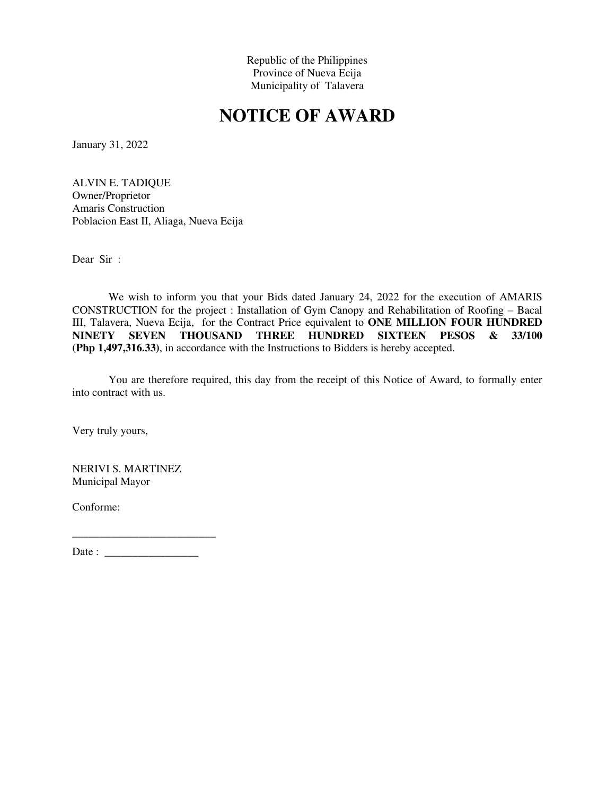# **NOTICE OF AWARD**

January 31, 2022

ALVIN E. TADIQUE Owner/Proprietor Amaris Construction Poblacion East II, Aliaga, Nueva Ecija

Dear Sir :

We wish to inform you that your Bids dated January 24, 2022 for the execution of AMARIS CONSTRUCTION for the project : Installation of Gym Canopy and Rehabilitation of Roofing – Bacal III, Talavera, Nueva Ecija, for the Contract Price equivalent to **ONE MILLION FOUR HUNDRED NINETY SEVEN THOUSAND THREE HUNDRED SIXTEEN PESOS & 33/100 (Php 1,497,316.33)**, in accordance with the Instructions to Bidders is hereby accepted.

You are therefore required, this day from the receipt of this Notice of Award, to formally enter into contract with us.

Very truly yours,

NERIVI S. MARTINEZ Municipal Mayor

Conforme: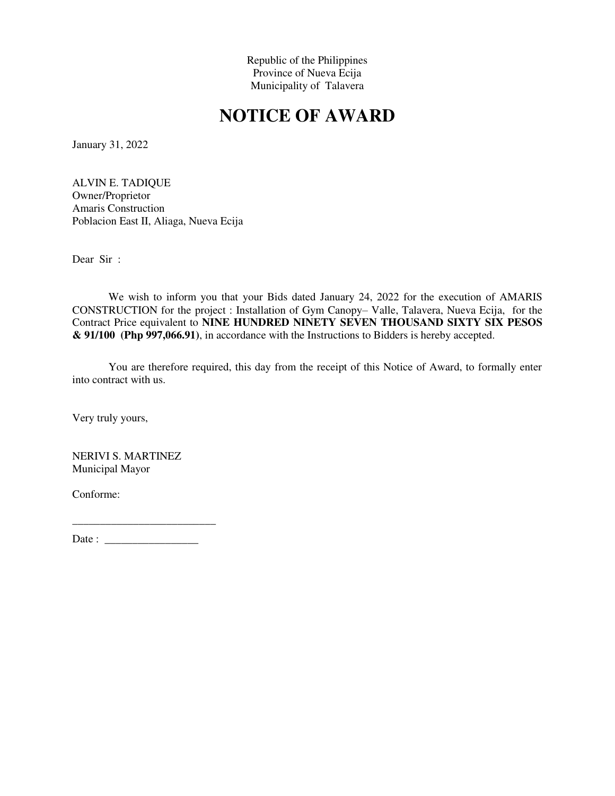# **NOTICE OF AWARD**

January 31, 2022

ALVIN E. TADIQUE Owner/Proprietor Amaris Construction Poblacion East II, Aliaga, Nueva Ecija

Dear Sir :

We wish to inform you that your Bids dated January 24, 2022 for the execution of AMARIS CONSTRUCTION for the project : Installation of Gym Canopy– Valle, Talavera, Nueva Ecija, for the Contract Price equivalent to **NINE HUNDRED NINETY SEVEN THOUSAND SIXTY SIX PESOS & 91/100 (Php 997,066.91)**, in accordance with the Instructions to Bidders is hereby accepted.

You are therefore required, this day from the receipt of this Notice of Award, to formally enter into contract with us.

Very truly yours,

NERIVI S. MARTINEZ Municipal Mayor

Conforme: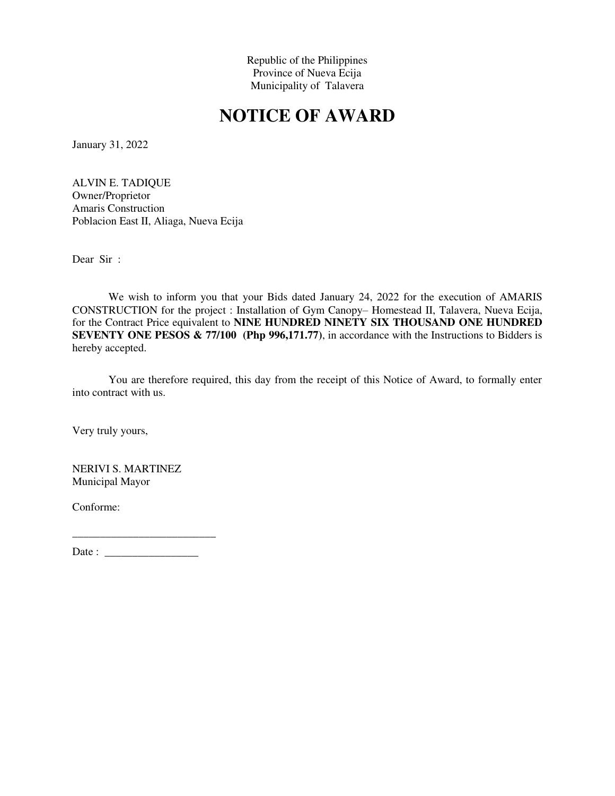# **NOTICE OF AWARD**

January 31, 2022

ALVIN E. TADIQUE Owner/Proprietor Amaris Construction Poblacion East II, Aliaga, Nueva Ecija

Dear Sir :

We wish to inform you that your Bids dated January 24, 2022 for the execution of AMARIS CONSTRUCTION for the project : Installation of Gym Canopy– Homestead II, Talavera, Nueva Ecija, for the Contract Price equivalent to **NINE HUNDRED NINETY SIX THOUSAND ONE HUNDRED SEVENTY ONE PESOS & 77/100 (Php 996,171.77)**, in accordance with the Instructions to Bidders is hereby accepted.

You are therefore required, this day from the receipt of this Notice of Award, to formally enter into contract with us.

Very truly yours,

NERIVI S. MARTINEZ Municipal Mayor

Conforme: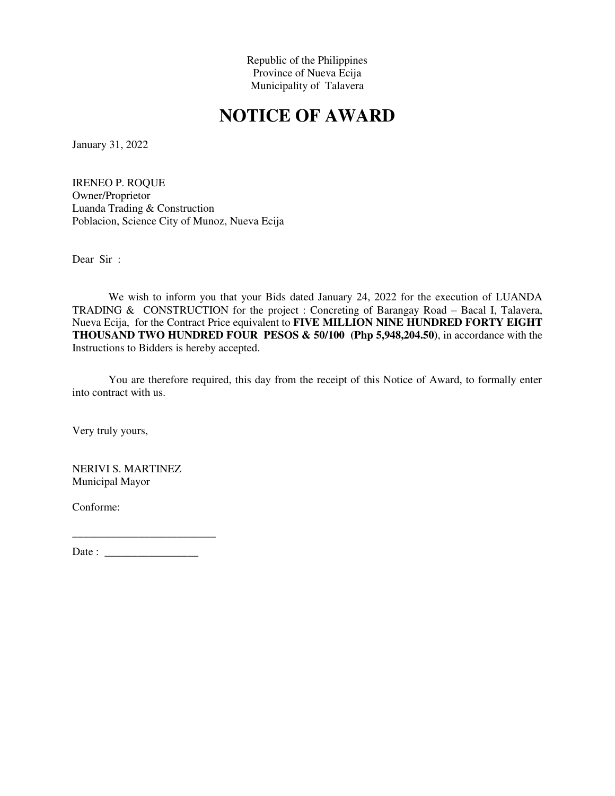# **NOTICE OF AWARD**

January 31, 2022

IRENEO P. ROQUE Owner/Proprietor Luanda Trading & Construction Poblacion, Science City of Munoz, Nueva Ecija

Dear Sir :

We wish to inform you that your Bids dated January 24, 2022 for the execution of LUANDA TRADING & CONSTRUCTION for the project : Concreting of Barangay Road – Bacal I, Talavera, Nueva Ecija, for the Contract Price equivalent to **FIVE MILLION NINE HUNDRED FORTY EIGHT THOUSAND TWO HUNDRED FOUR PESOS & 50/100 (Php 5,948,204.50)**, in accordance with the Instructions to Bidders is hereby accepted.

You are therefore required, this day from the receipt of this Notice of Award, to formally enter into contract with us.

Very truly yours,

NERIVI S. MARTINEZ Municipal Mayor

Conforme: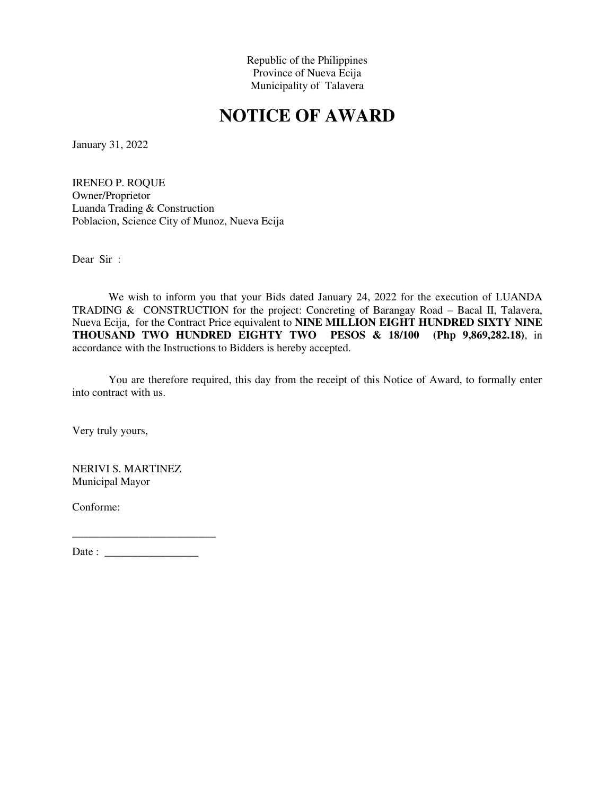# **NOTICE OF AWARD**

January 31, 2022

IRENEO P. ROQUE Owner/Proprietor Luanda Trading & Construction Poblacion, Science City of Munoz, Nueva Ecija

Dear Sir :

We wish to inform you that your Bids dated January 24, 2022 for the execution of LUANDA TRADING & CONSTRUCTION for the project: Concreting of Barangay Road – Bacal II, Talavera, Nueva Ecija, for the Contract Price equivalent to **NINE MILLION EIGHT HUNDRED SIXTY NINE THOUSAND TWO HUNDRED EIGHTY TWO PESOS & 18/100 (Php 9,869,282.18)**, in accordance with the Instructions to Bidders is hereby accepted.

You are therefore required, this day from the receipt of this Notice of Award, to formally enter into contract with us.

Very truly yours,

NERIVI S. MARTINEZ Municipal Mayor

Conforme: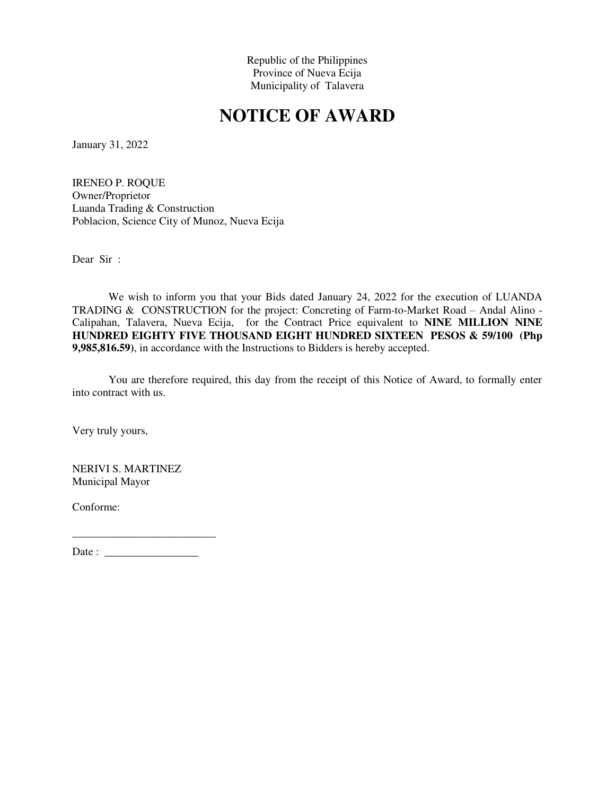# **NOTICE OF AWARD**

January 31, 2022

IRENEO P. ROQUE Owner/Proprietor Luanda Trading & Construction Poblacion, Science City of Munoz, Nueva Ecija

Dear Sir :

We wish to inform you that your Bids dated January 24, 2022 for the execution of LUANDA TRADING & CONSTRUCTION for the project: Concreting of Farm-to-Market Road – Andal Alino - Calipahan, Talavera, Nueva Ecija, for the Contract Price equivalent to **NINE MILLION NINE HUNDRED EIGHTY FIVE THOUSAND EIGHT HUNDRED SIXTEEN PESOS & 59/100 (Php 9,985,816.59)**, in accordance with the Instructions to Bidders is hereby accepted.

You are therefore required, this day from the receipt of this Notice of Award, to formally enter into contract with us.

Very truly yours,

NERIVI S. MARTINEZ Municipal Mayor

Conforme: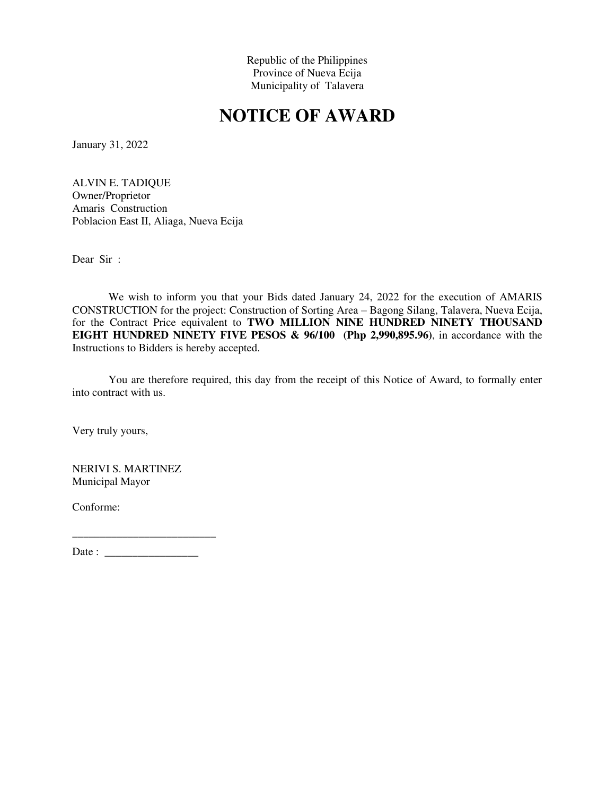# **NOTICE OF AWARD**

January 31, 2022

ALVIN E. TADIQUE Owner/Proprietor Amaris Construction Poblacion East II, Aliaga, Nueva Ecija

Dear Sir :

We wish to inform you that your Bids dated January 24, 2022 for the execution of AMARIS CONSTRUCTION for the project: Construction of Sorting Area – Bagong Silang, Talavera, Nueva Ecija, for the Contract Price equivalent to **TWO MILLION NINE HUNDRED NINETY THOUSAND EIGHT HUNDRED NINETY FIVE PESOS & 96/100 (Php 2,990,895.96)**, in accordance with the Instructions to Bidders is hereby accepted.

You are therefore required, this day from the receipt of this Notice of Award, to formally enter into contract with us.

Very truly yours,

NERIVI S. MARTINEZ Municipal Mayor

Conforme: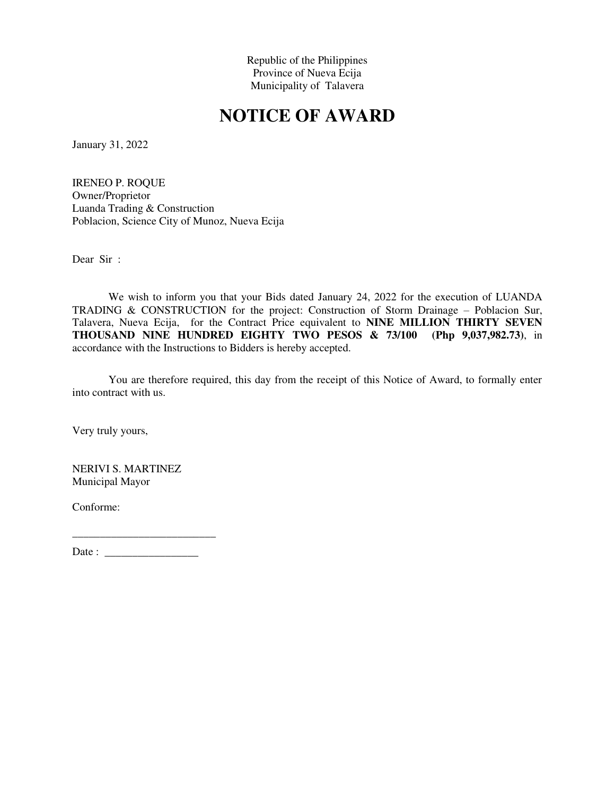# **NOTICE OF AWARD**

January 31, 2022

IRENEO P. ROQUE Owner/Proprietor Luanda Trading & Construction Poblacion, Science City of Munoz, Nueva Ecija

Dear Sir :

We wish to inform you that your Bids dated January 24, 2022 for the execution of LUANDA TRADING & CONSTRUCTION for the project: Construction of Storm Drainage – Poblacion Sur, Talavera, Nueva Ecija, for the Contract Price equivalent to **NINE MILLION THIRTY SEVEN THOUSAND NINE HUNDRED EIGHTY TWO PESOS & 73/100 (Php 9,037,982.73)**, in accordance with the Instructions to Bidders is hereby accepted.

You are therefore required, this day from the receipt of this Notice of Award, to formally enter into contract with us.

Very truly yours,

NERIVI S. MARTINEZ Municipal Mayor

Conforme: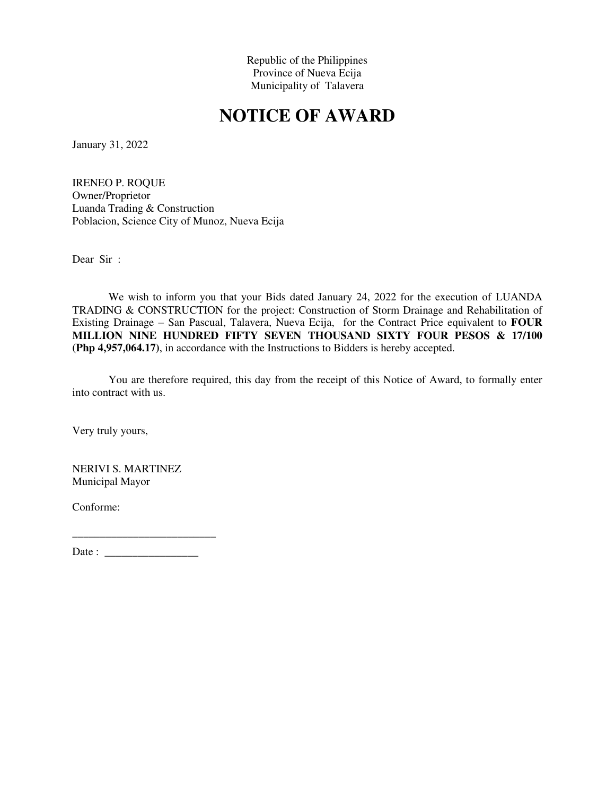# **NOTICE OF AWARD**

January 31, 2022

IRENEO P. ROQUE Owner/Proprietor Luanda Trading & Construction Poblacion, Science City of Munoz, Nueva Ecija

Dear Sir :

We wish to inform you that your Bids dated January 24, 2022 for the execution of LUANDA TRADING & CONSTRUCTION for the project: Construction of Storm Drainage and Rehabilitation of Existing Drainage – San Pascual, Talavera, Nueva Ecija, for the Contract Price equivalent to **FOUR MILLION NINE HUNDRED FIFTY SEVEN THOUSAND SIXTY FOUR PESOS & 17/100 (Php 4,957,064.17)**, in accordance with the Instructions to Bidders is hereby accepted.

You are therefore required, this day from the receipt of this Notice of Award, to formally enter into contract with us.

Very truly yours,

NERIVI S. MARTINEZ Municipal Mayor

Conforme: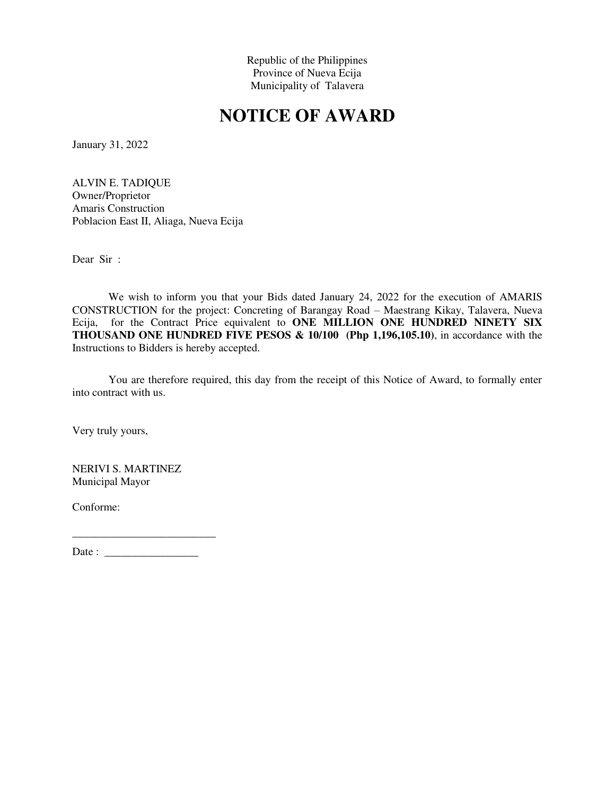# **NOTICE OF AWARD**

January 31, 2022

ALVIN E. TADIQUE Owner/Proprietor Amaris Construction Poblacion East II, Aliaga, Nueva Ecija

Dear Sir :

We wish to inform you that your Bids dated January 24, 2022 for the execution of AMARIS CONSTRUCTION for the project: Concreting of Barangay Road – Maestrang Kikay, Talavera, Nueva Ecija, for the Contract Price equivalent to **ONE MILLION ONE HUNDRED NINETY SIX THOUSAND ONE HUNDRED FIVE PESOS & 10/100 (Php 1,196,105.10)**, in accordance with the Instructions to Bidders is hereby accepted.

You are therefore required, this day from the receipt of this Notice of Award, to formally enter into contract with us.

Very truly yours,

NERIVI S. MARTINEZ Municipal Mayor

Conforme: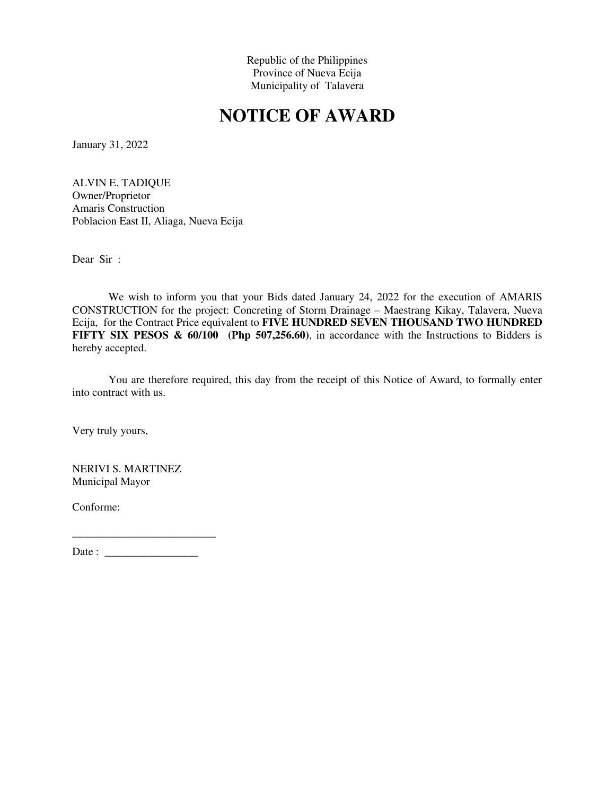# **NOTICE OF AWARD**

January 31, 2022

ALVIN E. TADIQUE Owner/Proprietor Amaris Construction Poblacion East II, Aliaga, Nueva Ecija

Dear Sir :

We wish to inform you that your Bids dated January 24, 2022 for the execution of AMARIS CONSTRUCTION for the project: Concreting of Storm Drainage – Maestrang Kikay, Talavera, Nueva Ecija, for the Contract Price equivalent to **FIVE HUNDRED SEVEN THOUSAND TWO HUNDRED FIFTY SIX PESOS & 60/100 (Php 507,256.60)**, in accordance with the Instructions to Bidders is hereby accepted.

You are therefore required, this day from the receipt of this Notice of Award, to formally enter into contract with us.

Very truly yours,

NERIVI S. MARTINEZ Municipal Mayor

Conforme: